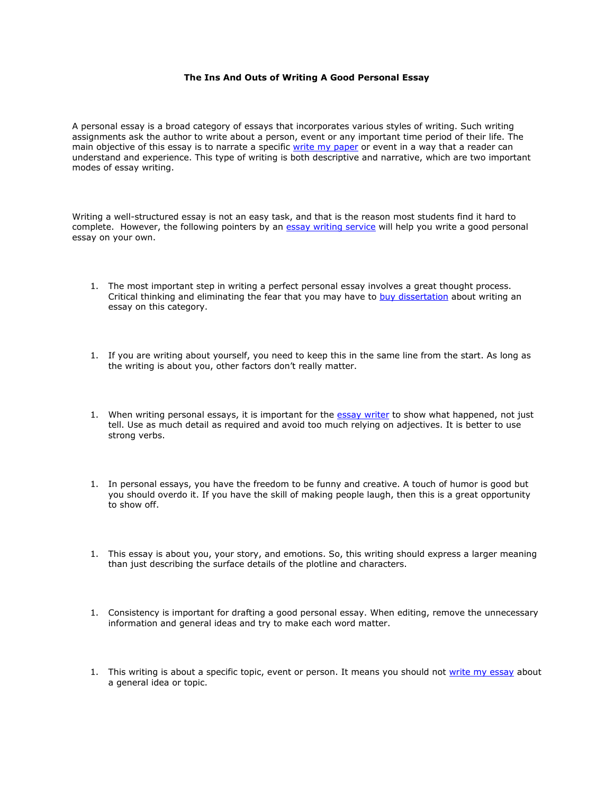## **The Ins And Outs of Writing A Good Personal Essay**

A personal essay is a broad category of essays that incorporates various styles of writing. Such writing assignments ask the author to write about a person, event or any important time period of their life. The main objective of this essay is to narrate a specific [write my paper](https://www.myperfectpaper.net/) or event in a way that a reader can understand and experience. This type of writing is both descriptive and narrative, which are two important modes of essay writing.

Writing a well-structured essay is not an easy task, and that is the reason most students find it hard to complete. However, the following pointers by an [essay writing service](https://www.myperfectwords.com/) will help you write a good personal essay on your own.

- 1. The most important step in writing a perfect personal essay involves a great thought process. Critical thinking and eliminating the fear that you may have to [buy dissertation](https://www.gradschoolgenius.com/buy-dissertation) about writing an essay on this category.
- 1. If you are writing about yourself, you need to keep this in the same line from the start. As long as the writing is about you, other factors don't really matter.
- 1. When writing personal essays, it is important for the [essay writer](https://www.essaywriter.college/) to show what happened, not just tell. Use as much detail as required and avoid too much relying on adjectives. It is better to use strong verbs.
- 1. In personal essays, you have the freedom to be funny and creative. A touch of humor is good but you should overdo it. If you have the skill of making people laugh, then this is a great opportunity to show off.
- 1. This essay is about you, your story, and emotions. So, this writing should express a larger meaning than just describing the surface details of the plotline and characters.
- 1. Consistency is important for drafting a good personal essay. When editing, remove the unnecessary information and general ideas and try to make each word matter.
- 1. This writing is about a specific topic, event or person. It means you should not [write my essay](https://www.writemyessay.help/) about a general idea or topic.